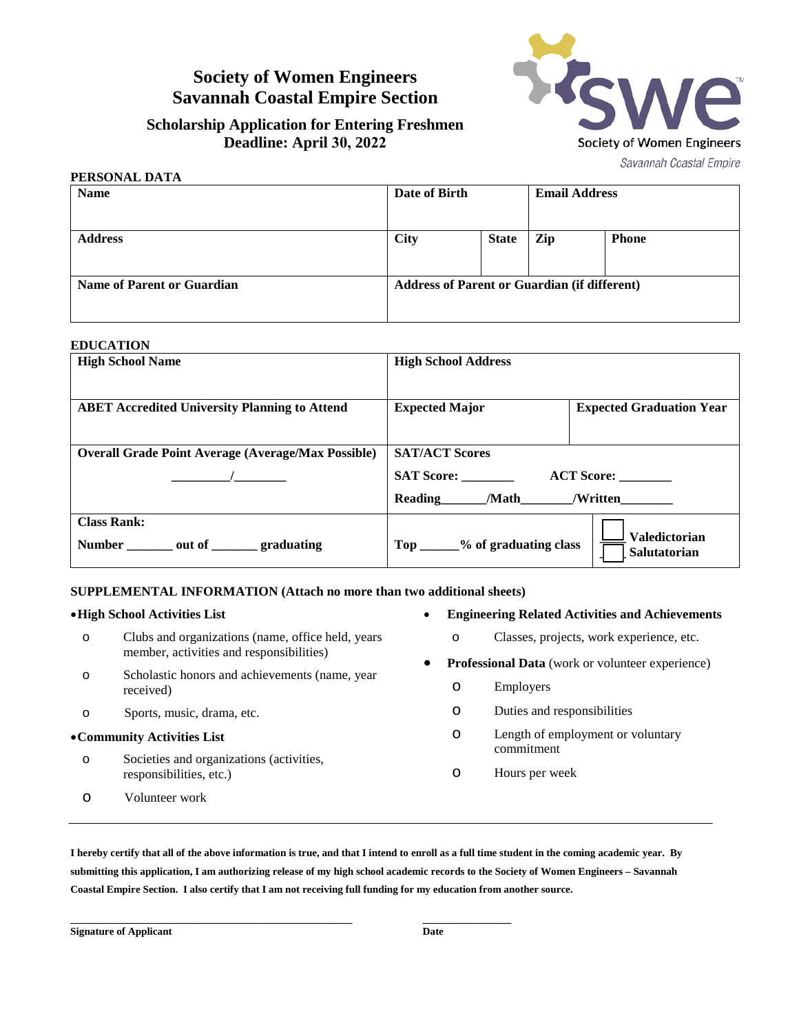# **Society of Women Engineers Savannah Coastal Empire Section**

Sign Society of Women Engineers Savannah Coastal Empire

## **Scholarship Application for Entering Freshmen Deadline: April 30, 2022**

| PERSONAL DATA              |               |                                                     |                      |              |  |
|----------------------------|---------------|-----------------------------------------------------|----------------------|--------------|--|
| <b>Name</b>                | Date of Birth |                                                     | <b>Email Address</b> |              |  |
| <b>Address</b>             | <b>City</b>   | <b>State</b>                                        | Zip                  | <b>Phone</b> |  |
| Name of Parent or Guardian |               | <b>Address of Parent or Guardian (if different)</b> |                      |              |  |

### **EDUCATION**

| <b>High School Name</b>                                          | <b>High School Address</b>                                                                             |  |  |  |
|------------------------------------------------------------------|--------------------------------------------------------------------------------------------------------|--|--|--|
| <b>ABET Accredited University Planning to Attend</b>             | <b>Expected Major</b><br><b>Expected Graduation Year</b>                                               |  |  |  |
| <b>Overall Grade Point Average (Average/Max Possible)</b>        | <b>SAT/ACT Scores</b><br><b>SAT Score:</b><br><b>ACT Score:</b><br><b>Reading</b><br>/Math<br>/Written |  |  |  |
| <b>Class Rank:</b><br>Number ________ out of ________ graduating | <b>Valedictorian</b><br>Top _____% of graduating class<br>Salutatorian                                 |  |  |  |

### **SUPPLEMENTAL INFORMATION (Attach no more than two additional sheets)**

#### •**High School Activities List**

- o Clubs and organizations (name, office held, years member, activities and responsibilities)
- o Scholastic honors and achievements (name, year received)
- o Sports, music, drama, etc.

#### •**Community Activities List**

- o Societies and organizations (activities, responsibilities, etc.)
- o Volunteer work
- **Engineering Related Activities and Achievements**
	- o Classes, projects, work experience, etc.
- **Professional Data** (work or volunteer experience)
	- o Employers
	- o Duties and responsibilities
	- o Length of employment or voluntary commitment
	- o Hours per week

**I hereby certify that all of the above information is true, and that I intend to enroll as a full time student in the coming academic year. By submitting this application, I am authorizing release of my high school academic records to the Society of Women Engineers – Savannah Coastal Empire Section. I also certify that I am not receiving full funding for my education from another source.**